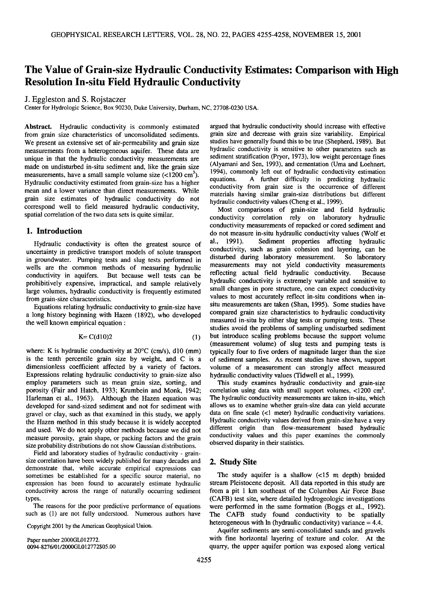# **The Value of Grain-size Hydraulic Conductivity Estimates: Comparison with High Resolution In-situ Field Hydraulic Conductivity**

**J. Eggleston and S. Rojstaczer** 

**Center for Hydrologic Science, Box 90230, Duke University, Durham, NC, 27708-0230 USA.** 

**Abstract. Hydraulic conductivity is commonly estimated from grain size characteristics of unconsolidated sediments. We present an extensive set of air-permeability and grain size measurements from a heterogeneous aquifer. These data are unique in that the hydraulic conductivity measurements are made on undisturbed in-situ sediment and, like the grain size**  measurements, have a small sample volume size (<1200 cm<sup>3</sup>). **Hydraulic conductivity estimated from grain-size has a higher mean and a lower variance than direct measurements. While grain size estimates of hydraulic conductivity do not correspond well to field measured hydraulic conductivity, spatial correlation of the two data sets is quite similar.** 

## **1. Introduction**

**Hydraulic conductivity is often the greatest source of uncertainty in predictive transport models of solute transport in groundwater. Pumping tests and slug tests performed in wells are the common methods of measuring hydraulic conductivity in aquifers. But because well tests can be prohibitively expensive, impractical, and sample relatively large volumes, hydraulic conductivity is frequently estimated from grain-size characteristics.** 

**Equations relating hydraulic conductivity to grain-size have a long history beginning with Hazen (1892), who developed the well known empirical equation:** 

$$
K = C(d10)2 \tag{1}
$$

where: K is hydraulic conductivity at 20<sup>o</sup>C (cm/s), d10 (mm) **is the tenth percentile grain size by weight, and C is a dimensionless coefficient affected by a variety of factors. Expressions relating hydraulic conductivity to grain-size also employ parameters such as mean grain size, sorting, and porosity (Fair and Hatch, 1933; Krumbein and Monk, 1942; Harleman et al., 1963). Although the Hazen equation was developed for sand-sized sediment and not for sediment with gravel or clay, such as that examined in this study, we apply the Hazen method in this study because it is widely accepted and used. We do not apply other methods because we did not measure porosity, grain shape, or packing factors and the grain size probability distributions do not show Gaussian distributions.** 

**Field and laboratory studies of hydraulic conductivity- grainsize correlation have been widely published for many decades and demonstrate that, while accurate empirical expressions can**  sometimes be established for a specific source material, no **expression has been found to accurately estimate hydraulic conductivity across the range of naturally occurring sediment types.** 

**The reasons for the poor predictive performance of equations such as (1) are not fully understood. Numerous authors have** 

**Copyright 2001 by the American Geophysical Union.** 

**Paper number 2000GL012772. 0094-8276/01/2000GL012772505.00** 

**argued that hydraulic conductivity should increase with effective grain size and decrease with grain size variability. Empirical studies have generally found this to be true (Shepherd, 1989). But hydraulic conductivity is sensitive to other parameters such as sediment stratification (Pryor, 1973), low weight percentage fines (Alyamani and Sen, 1993), and cementation (Uma and Loehnert, 1994), commonly left out of hydraulic conductivity estimation equations. A further difficulty in predicting hydraulic conductivity from grain size is the occurrence of different materials having similar grain-size distributions but different hydraulic conductivity values (Cheng et al., 1999).** 

**Most comparisons of grain-size and field hydraulic conductivity correlation rely on laboratory hydraulic conductivity measurements of repacked or cored sediment and do not measure in-situ hydraulic conductivity values (Wolf et**  Sediment properties affecting hydraulic **conductivity, such as grain cohesion and layering, can be**  disturbed during laboratory measurement. **measurements may not yield conductivity measurements**  reflecting actual field hydraulic conductivity. **hydraulic conductivity is extremely variable and sensitive to small changes in pore structure, one can expect conductivity values to most accurately reflect in-situ conditions when insitu measurements are taken (Shan, 1995). Some studies have compared grain size characteristics to hydraulic conductivity measured in-situ by either slug tests or pumping tests. These studies avoid the problems of sampling undisturbed sediment but introduce scaling problems because the support volume (measurement volume) of slug tests and pumping tests is typically four to five orders of magnitude larger than the size of sediment samples. As recent studies have shown, support volume of a measurement can strongly affect measured hydraulic conductivity values (Tidwell et al., 1999).** 

**This study examines hydraulic conductivity and grain-size**  correlation using data with small support volumes, <1200 cm<sup>3</sup>. **The hydraulic conductivity measurements are taken in-situ, which allows us to examine whether grain-size data can yield accurate data on fine scale (<1 meter) hydraulic conductivity variations. Hydraulic conductivity values derived from grain-size have a very different origin than flow-measurement based hydraulic conductivity values and this paper examines the commonly observed disparity in their statistics.** 

#### **2. Study Site**

**The study aquifer is a shallow (<15 m depth) braided stream Pleistocene deposit. All data reported in this study are from a pit 1 km southeast of the Columbus Air Force Base (CAFB) test site, where detailed hydrogeologic investigations were performed in the same formation (Boggs et al., 1992). The CAFB study found conductivity to be spatially**  heterogeneous with  $\ln$  (hydraulic conductivity) variance  $= 4.4$ .

**Aquifer sediments are semi-consolidated sands and gravels with fine horizontal layering of texture and color. At the quarry, the upper aquifer portion was exposed along vertical**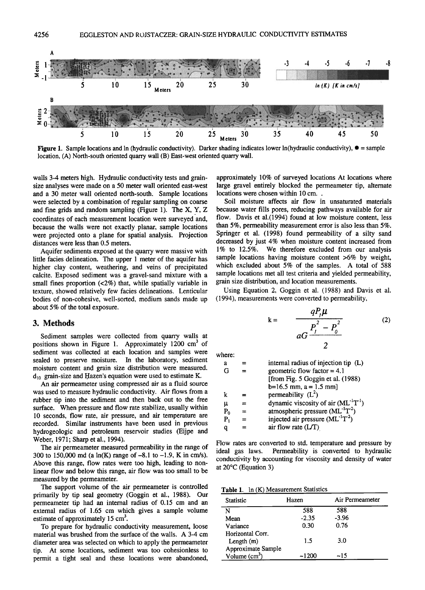

**Figure 1.** Sample locations and ln (hydraulic conductivity). Darker shading indicates lower ln(hydraulic conductivity),  $\bullet$  = sample location, (A) North-south oriented quarry wall (B) East-west oriented quarry wall.

**walls 3-4 meters high. Hydraulic conductivity tests and grainsize analyses were •nade on a 50 meter wall oriented east-west and a 30 meter wall oriented north-south. Sample locations were selected by a combination of regular sampling on coarse and fine grids and random sampling (Figure 1). The X, Y, Z**  coordinates of each measurement location were surveyed and, **because the walls were not exactly planar, sample locations were projected onto a plane for spatial analysis. Projection distances were less than 0.5 meters.** 

**Aquifer sediments exposed at the quarry were massive with little facies delineation. The upper 1 meter of the aquifer has higher clay content, weathering, and veins of precipitated calcite. Exposed sediment was a gravel-sand mixture with a small fines proportion (<2%) that, while spatially variable in texture, showed relatively few facies delineations. Lenticular bodies of non-cohesive, well-sorted, medium sands made up about 5% of the total exposure.** 

## **3. Methods**

**Sediment samples were collected from quarry walls at**  positions shown in Figure 1. Approximately 1200 cm<sup>3</sup> of **sediment was collected at each location and samples were sealed to preserve moisture. In the laboratory, sediment moisture content and grain size distribution were measured.**  d<sub>10</sub> grain-size and Hazen's equation were used to estimate K.

**An air permeameter using compressed air as a fluid source was used to measure hydraulic conductivity. Air flows from a rubber tip into the sediment and then back out to the free surface. When pressure and flow rate stabilize, usually within 10 seconds, flow rate, air pressure, and air temperature are recorded. Similar instruments have been used in previous hydrogeologic and petroleum reservoir studies (Eijpe and Weber, 1971; Sharp et al., 1994).** 

**The air permeameter measured permeability in the range of 300 to 150,000 md (a In(K) range of-8.1 to -1.9, K in cm/s). Above this range, flow rates were too high, leading to nonlinear flow and below this range, air flow was too small to be measured by the permeameter.** 

**The support volume of the air permeameter is controlled primarily by tip seal geometry (Goggin et al., 1988). Our permeameter tip had an internal radius of 0.15 cm and an external radius of 1.65 cm which gives a sample volume**  estimate of approximately 15 cm<sup>3</sup>.

**To prepare for hydraulic conductivity measurement, loose material was brushed from the surface of the walls. A 3-4 cm diameter area was selected on which to apply the permeameter tip. At some locations, sediment was too cohesionless to permit a tight seal and these locations were abandoned,** 

**approximately 10% of surveyed locations At locations where large gravel entirely blocked the permeameter tip, alternate locations were chosen within 10 cm..** 

**Soil moisture affects air flow in unsaturated materials because water fills pores, reducing pathways available for air flow. Davis et a1.(1994) found at low moisture content, less than 5%, permeability measurement error is also less than 5%. Springer et al. (1998) found permeability of a silty sand decreased by just 4% when moisture content increased from 1% to 12.5%. We therefore excluded from our analysis sample locations having moisture content >6% by weight, which excluded about 5% of the samples. A total of 588 sample locations met all test criteria and yielded permeability, grain size distribution, and location measurements.** 

**Using Equation 2, Goggin et al. (1988) and Davis et al. (1994), measurements were converted to permeability,** 

$$
k = \frac{qP_{\mu}\mu}{aG\frac{P_{\mu}^{2}-P_{0}^{2}}{2}}
$$
 (2)

**where:** 

| а     |   | internal radius of injection tip (L)       |
|-------|---|--------------------------------------------|
| G     |   | geometric flow factor = $4.1$              |
|       |   | [from Fig. 5 Goggin et al. (1988)          |
|       |   | $b=16.5$ mm, $a = 1.5$ mm]                 |
| k     |   | permeability $(L^2)$                       |
| μ     | ᆖ | dynamic viscosity of air $(ML^{-1}T^{-1})$ |
| $P_0$ | = | atmospheric pressure $(ML^{-1}T^2)$        |
| $P_1$ |   | injected air pressure $(ML^{-1}T^2)$       |
| a     |   | air flow rate $(L/T)$                      |

**Flow rates are converted to std. temperature and pressure by**  Permeability is converted to hydraulic **conductivity by accounting for viscosity and density of water at 20øC (Equation 3)** 

**Table 1. In (K) Measurement Statistics** 

| Statistic          | Hazen   | Air Permeameter |
|--------------------|---------|-----------------|
| N                  | 588     | 588             |
| Mean               | $-2.35$ | $-3.96$         |
| Variance           | 0.30    | 0.76            |
| Horizontal Corr.   |         |                 |
| Length $(m)$       | 1.5     | 3.0             |
| Approximate Sample |         |                 |
| Volume $(cm3)$     | $-1200$ | -15             |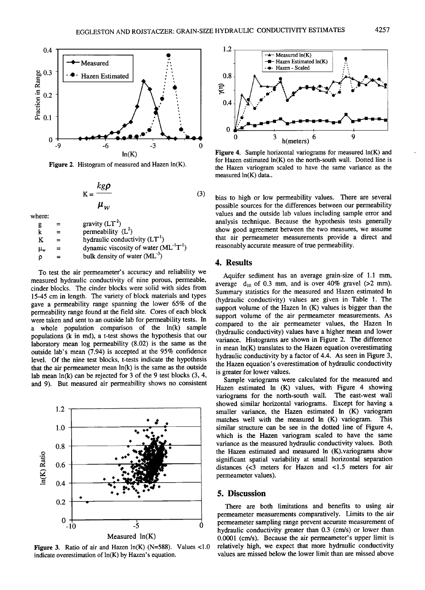

**Figure 2. Histogram of measured and Hazen ln(K).** 

$$
K = \frac{kg\rho}{\mu_w} \tag{3}
$$

**where:** 

| .  |                                              |
|----|----------------------------------------------|
| -8 | gravity $(LT2)$                              |
|    | permeability $(L^2)$                         |
| K  | hydraulic conductivity $(LT1)$               |
| μw | dynamic viscosity of water $(ML^{-1}T^{-1})$ |
| Ω  | bulk density of water $(ML^{-3})$            |

**To test the air permeameter's accuracy and reliability we measured hydraulic conductivity of nine porous, permeable, cinder blocks. The cinder blocks were solid with sides from 15-45 cm in length. The variety of block materials and types gave a permeability range spanning the lower 65% of the permeability range found at the field site. Cores of each block were taken and sent to an outside lab for permeability tests. In a whole population comparison of the ln(k) sample populations (kin md), a t-test shows the hypothesis that our laboratory mean log permeability (8.02) is the same as the outside lab's mean (7.94) is accepted at the 95% confidence level. Of the nine test blocks, t-tests indicate the hypothesis that the air permeameter mean ln(k) is the same as the outside lab mean ln(k) can be rejected for 3 of the 9 test blocks (3, 4, and 9). But measured air permeability shows no consistent** 



**Figure 3. Ratio of air and Hazen In(K) (N=588). Values <1.0 indicate overestimation of ln(K) by Hazen's equation.** 



**Figure 4. Sample horizontal variograms for measured ln(K) and for Hazen estimated ln(K) on the north-south wall. Dotted line is the Hazen variogram scaled to have the same variance as the measured ln(K) data..** 

**bias to high or low permeability values. There are several possible sources for the differences between our permeability values and the outside lab values including sample error and analysis technique. Because the hypothesis tests generally show good agreement between the two measures, we assume that air permeameter measurements provide a direct and reasonably accurate measure of true permeability.** 

## **4. Results**

**Aquifer sediment has an average grain-size of 1.1 mm,**  average  $d_{10}$  of 0.3 mm, and is over 40% gravel (>2 mm). **Summary statistics for the measured and Hazen estimated In (hydraulic conductivity) values are given in Table 1. The support volume of the Hazen In (K) values is bigger than the support volume of the air permeameter measurements. As compared to the air permeameter values, the Hazen In (hydraulic conductivity) values have a higher mean and lower variance. Histograms are shown in Figure 2. The difference in mean ln(K) translates to the Hazen equation overestimating hydraulic conductivity by a factor of 4.4. As seen in Figure 3, the Hazen equation's overestimation of hydraulic conductivity is greater for lower values.** 

**Sample variograms were calculated for the measured and Hazen estimated In (K) values, with Figure 4 showing variograms for the north-south wall. The east-west wall showed similar horizontal variograms. Except for having a smaller variance, the Hazen estimated In (K) variogram**  matches well with the measured ln (K) variogram. **similar structure can be see in the dotted line of Figure 4, which is the Hazen variogram scaled to have the same variance as the measured hydraulic conductivity values. Both the Hazen estimated and measured In (K).variograms show significant spatial variability at small horizontal separation distances (<3 meters for Hazen and <1.5 meters for air permeameter values).** 

## **5. Discussion**

**There are both limitations and benefits to using air permeameter measurements comparatively. Limits to the air permeameter sampling range prevent accurate measurement of hydraulic conductivity greater than 0.3 (cm/s) or lower than 0.0001 (cm/s). Because the air permeameter's upper limit is relatively high, we expect that more hydraulic conductivity values are missed below the lower limit than are missed above**